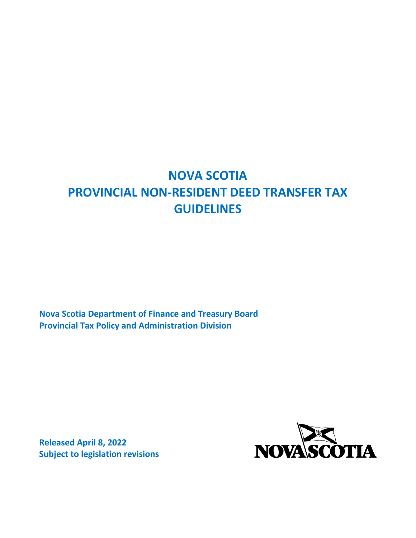# **NOVA SCOTIA PROVINCIAL NON-RESIDENT DEED TRANSFER TAX GUIDELINES**

**Nova Scotia Department of Finance and Treasury Board Provincial Tax Policy and Administration Division**

**Released April 8, 2022 Subject to legislation revisions**

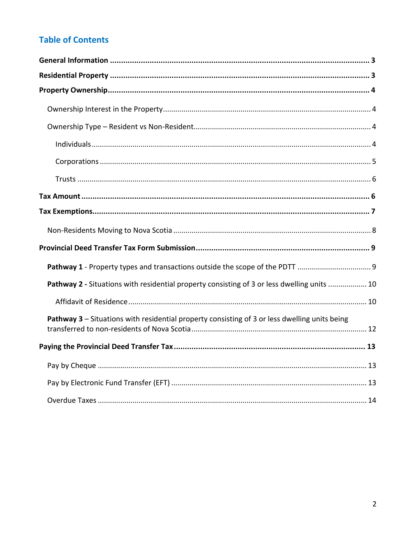## **Table of Contents**

| Pathway 2 - Situations with residential property consisting of 3 or less dwelling units  10   |
|-----------------------------------------------------------------------------------------------|
|                                                                                               |
| Pathway 3 – Situations with residential property consisting of 3 or less dwelling units being |
|                                                                                               |
|                                                                                               |
|                                                                                               |
|                                                                                               |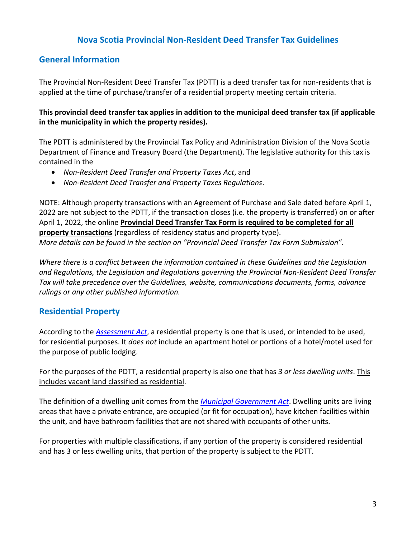## **Nova Scotia Provincial Non-Resident Deed Transfer Tax Guidelines**

#### <span id="page-2-0"></span>**General Information**

The Provincial Non-Resident Deed Transfer Tax (PDTT) is a deed transfer tax for non-residents that is applied at the time of purchase/transfer of a residential property meeting certain criteria.

**This provincial deed transfer tax applies in addition to the municipal deed transfer tax (if applicable in the municipality in which the property resides).**

The PDTT is administered by the Provincial Tax Policy and Administration Division of the Nova Scotia Department of Finance and Treasury Board (the Department). The legislative authority for this tax is contained in the

- *Non-Resident Deed Transfer and Property Taxes Act*, and
- *Non-Resident Deed Transfer and Property Taxes Regulations*.

NOTE: Although property transactions with an Agreement of Purchase and Sale dated before April 1, 2022 are not subject to the PDTT, if the transaction closes (i.e. the property is transferred) on or after April 1, 2022, the online **Provincial Deed Transfer Tax Form is required to be completed for all property transactions** (regardless of residency status and property type). *More details can be found in the section on "Provincial Deed Transfer Tax Form Submission".*

*Where there is a conflict between the information contained in these Guidelines and the Legislation and Regulations, the Legislation and Regulations governing the Provincial Non-Resident Deed Transfer Tax will take precedence over the Guidelines, website, communications documents, forms, advance rulings or any other published information.*

## <span id="page-2-1"></span>**Residential Property**

According to the *[Assessment Act](https://nslegislature.ca/sites/default/files/legc/statutes/assessment.pdf)*, a residential property is one that is used, or intended to be used, for residential purposes. It *does not* include an apartment hotel or portions of a hotel/motel used for the purpose of public lodging.

For the purposes of the PDTT, a residential property is also one that has *3 or less dwelling units*. This includes vacant land classified as residential.

The definition of a dwelling unit comes from the *[Municipal Government Act](https://nslegislature.ca/sites/default/files/legc/statutes/municipal%20government.pdf)*. Dwelling units are living areas that have a private entrance, are occupied (or fit for occupation), have kitchen facilities within the unit, and have bathroom facilities that are not shared with occupants of other units.

For properties with multiple classifications, if any portion of the property is considered residential and has 3 or less dwelling units, that portion of the property is subject to the PDTT.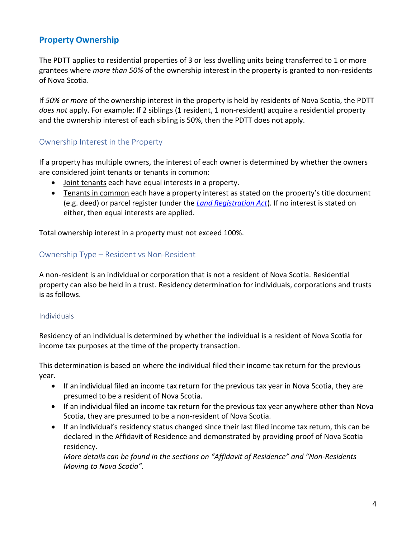## <span id="page-3-0"></span>**Property Ownership**

The PDTT applies to residential properties of 3 or less dwelling units being transferred to 1 or more grantees where *more than 50%* of the ownership interest in the property is granted to non-residents of Nova Scotia.

If *50% or more* of the ownership interest in the property is held by residents of Nova Scotia, the PDTT *does not* apply. For example: If 2 siblings (1 resident, 1 non-resident) acquire a residential property and the ownership interest of each sibling is 50%, then the PDTT does not apply.

#### <span id="page-3-1"></span>Ownership Interest in the Property

If a property has multiple owners, the interest of each owner is determined by whether the owners are considered joint tenants or tenants in common:

- Joint tenants each have equal interests in a property.
- Tenants in common each have a property interest as stated on the property's title document (e.g. deed) or parcel register (under the *[Land Registration Act](https://nslegislature.ca/sites/default/files/legc/statutes/land%20registration.pdf)*). If no interest is stated on either, then equal interests are applied.

Total ownership interest in a property must not exceed 100%.

#### <span id="page-3-2"></span>Ownership Type – Resident vs Non-Resident

A non-resident is an individual or corporation that is not a resident of Nova Scotia. Residential property can also be held in a trust. Residency determination for individuals, corporations and trusts is as follows.

#### <span id="page-3-3"></span>Individuals

Residency of an individual is determined by whether the individual is a resident of Nova Scotia for income tax purposes at the time of the property transaction.

This determination is based on where the individual filed their income tax return for the previous year.

- If an individual filed an income tax return for the previous tax year in Nova Scotia, they are presumed to be a resident of Nova Scotia.
- If an individual filed an income tax return for the previous tax year anywhere other than Nova Scotia, they are presumed to be a non-resident of Nova Scotia.
- If an individual's residency status changed since their last filed income tax return, this can be declared in the Affidavit of Residence and demonstrated by providing proof of Nova Scotia residency.

*More details can be found in the sections on "Affidavit of Residence" and "Non-Residents Moving to Nova Scotia".*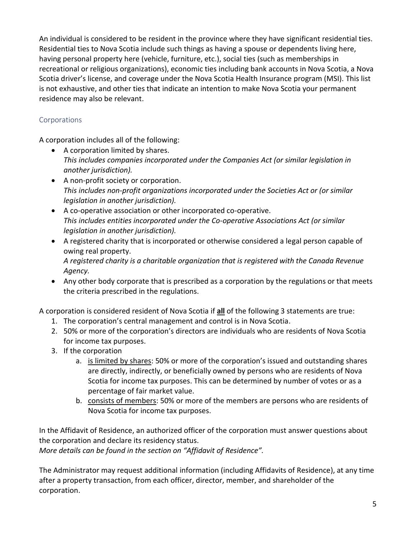An individual is considered to be resident in the province where they have significant residential ties. Residential ties to Nova Scotia include such things as having a spouse or dependents living here, having personal property here (vehicle, furniture, etc.), social ties (such as memberships in recreational or religious organizations), economic ties including bank accounts in Nova Scotia, a Nova Scotia driver's license, and coverage under the Nova Scotia Health Insurance program (MSI). This list is not exhaustive, and other ties that indicate an intention to make Nova Scotia your permanent residence may also be relevant.

#### <span id="page-4-0"></span>Corporations

A corporation includes all of the following:

- A corporation limited by shares. *This includes companies incorporated under the Companies Act (or similar legislation in another jurisdiction).*
- A non-profit society or corporation. *This includes non-profit organizations incorporated under the Societies Act or (or similar legislation in another jurisdiction).*
- A co-operative association or other incorporated co-operative. *This includes entities incorporated under the Co-operative Associations Act (or similar legislation in another jurisdiction).*
- A registered charity that is incorporated or otherwise considered a legal person capable of owing real property. *A registered charity is a charitable organization that is registered with the Canada Revenue Agency.*
- Any other body corporate that is prescribed as a corporation by the regulations or that meets the criteria prescribed in the regulations.

A corporation is considered resident of Nova Scotia if **all** of the following 3 statements are true:

- 1. The corporation's central management and control is in Nova Scotia.
- 2. 50% or more of the corporation's directors are individuals who are residents of Nova Scotia for income tax purposes.
- 3. If the corporation
	- a. is limited by shares: 50% or more of the corporation's issued and outstanding shares are directly, indirectly, or beneficially owned by persons who are residents of Nova Scotia for income tax purposes. This can be determined by number of votes or as a percentage of fair market value.
	- b. consists of members: 50% or more of the members are persons who are residents of Nova Scotia for income tax purposes.

In the Affidavit of Residence, an authorized officer of the corporation must answer questions about the corporation and declare its residency status.

*More details can be found in the section on "Affidavit of Residence".*

The Administrator may request additional information (including Affidavits of Residence), at any time after a property transaction, from each officer, director, member, and shareholder of the corporation.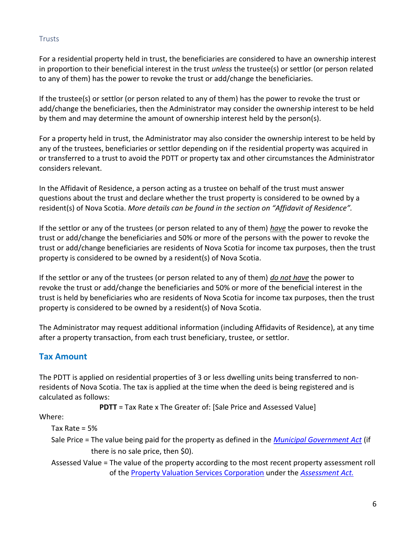#### <span id="page-5-0"></span>Trusts

For a residential property held in trust, the beneficiaries are considered to have an ownership interest in proportion to their beneficial interest in the trust *unless* the trustee(s) or settlor (or person related to any of them) has the power to revoke the trust or add/change the beneficiaries.

If the trustee(s) or settlor (or person related to any of them) has the power to revoke the trust or add/change the beneficiaries, then the Administrator may consider the ownership interest to be held by them and may determine the amount of ownership interest held by the person(s).

For a property held in trust, the Administrator may also consider the ownership interest to be held by any of the trustees, beneficiaries or settlor depending on if the residential property was acquired in or transferred to a trust to avoid the PDTT or property tax and other circumstances the Administrator considers relevant.

In the Affidavit of Residence, a person acting as a trustee on behalf of the trust must answer questions about the trust and declare whether the trust property is considered to be owned by a resident(s) of Nova Scotia. *More details can be found in the section on "Affidavit of Residence".*

If the settlor or any of the trustees (or person related to any of them) *have* the power to revoke the trust or add/change the beneficiaries and 50% or more of the persons with the power to revoke the trust or add/change beneficiaries are residents of Nova Scotia for income tax purposes, then the trust property is considered to be owned by a resident(s) of Nova Scotia.

If the settlor or any of the trustees (or person related to any of them) *do not have* the power to revoke the trust or add/change the beneficiaries and 50% or more of the beneficial interest in the trust is held by beneficiaries who are residents of Nova Scotia for income tax purposes, then the trust property is considered to be owned by a resident(s) of Nova Scotia.

The Administrator may request additional information (including Affidavits of Residence), at any time after a property transaction, from each trust beneficiary, trustee, or settlor.

## <span id="page-5-1"></span>**Tax Amount**

The PDTT is applied on residential properties of 3 or less dwelling units being transferred to nonresidents of Nova Scotia. The tax is applied at the time when the deed is being registered and is calculated as follows:

**PDTT** = Tax Rate x The Greater of: [Sale Price and Assessed Value]

Where:

Tax Rate = 5%

Sale Price = The value being paid for the property as defined in the *[Municipal Government Act](https://nslegislature.ca/sites/default/files/legc/statutes/municipal%20government.pdf)* (if there is no sale price, then \$0).

Assessed Value = The value of the property according to the most recent property assessment roll of the [Property Valuation Services Corporation](https://www.pvsc.ca/en/home/default.aspx) under the *[Assessment Act.](https://nslegislature.ca/sites/default/files/legc/statutes/assessment.pdf)*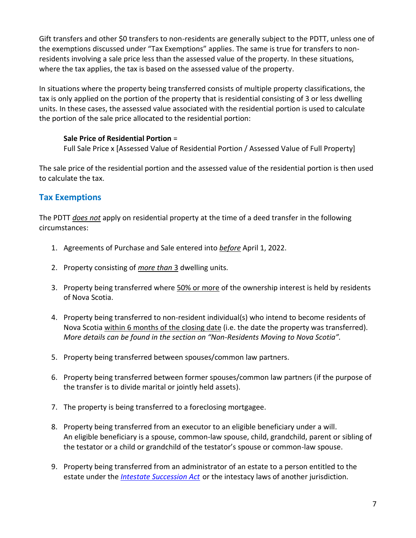Gift transfers and other \$0 transfers to non-residents are generally subject to the PDTT, unless one of the exemptions discussed under "Tax Exemptions" applies. The same is true for transfers to nonresidents involving a sale price less than the assessed value of the property. In these situations, where the tax applies, the tax is based on the assessed value of the property.

In situations where the property being transferred consists of multiple property classifications, the tax is only applied on the portion of the property that is residential consisting of 3 or less dwelling units. In these cases, the assessed value associated with the residential portion is used to calculate the portion of the sale price allocated to the residential portion:

#### **Sale Price of Residential Portion** =

Full Sale Price x [Assessed Value of Residential Portion / Assessed Value of Full Property]

The sale price of the residential portion and the assessed value of the residential portion is then used to calculate the tax.

## <span id="page-6-0"></span>**Tax Exemptions**

The PDTT *does not* apply on residential property at the time of a deed transfer in the following circumstances:

- 1. Agreements of Purchase and Sale entered into *before* April 1, 2022.
- 2. Property consisting of *more than* 3 dwelling units.
- 3. Property being transferred where 50% or more of the ownership interest is held by residents of Nova Scotia.
- 4. Property being transferred to non-resident individual(s) who intend to become residents of Nova Scotia within 6 months of the closing date (i.e. the date the property was transferred). *More details can be found in the section on "Non-Residents Moving to Nova Scotia".*
- 5. Property being transferred between spouses/common law partners.
- 6. Property being transferred between former spouses/common law partners (if the purpose of the transfer is to divide marital or jointly held assets).
- 7. The property is being transferred to a foreclosing mortgagee.
- 8. Property being transferred from an executor to an eligible beneficiary under a will. An eligible beneficiary is a spouse, common-law spouse, child, grandchild, parent or sibling of the testator or a child or grandchild of the testator's spouse or common-law spouse.
- 9. Property being transferred from an administrator of an estate to a person entitled to the estate under the *[Intestate Succession Act](https://nslegislature.ca/sites/default/files/legc/statutes/intestat.htm)* or the intestacy laws of another jurisdiction*.*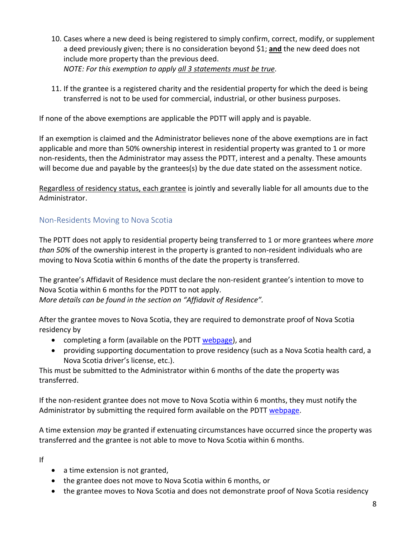- 10. Cases where a new deed is being registered to simply confirm, correct, modify, or supplement a deed previously given; there is no consideration beyond \$1; **and** the new deed does not include more property than the previous deed. *NOTE: For this exemption to apply all 3 statements must be true.*
- 11. If the grantee is a registered charity and the residential property for which the deed is being transferred is not to be used for commercial, industrial, or other business purposes.

If none of the above exemptions are applicable the PDTT will apply and is payable.

If an exemption is claimed and the Administrator believes none of the above exemptions are in fact applicable and more than 50% ownership interest in residential property was granted to 1 or more non-residents, then the Administrator may assess the PDTT, interest and a penalty. These amounts will become due and payable by the grantees(s) by the due date stated on the assessment notice.

Regardless of residency status, each grantee is jointly and severally liable for all amounts due to the Administrator.

## <span id="page-7-0"></span>Non-Residents Moving to Nova Scotia

The PDTT does not apply to residential property being transferred to 1 or more grantees where *more than 50%* of the ownership interest in the property is granted to non-resident individuals who are moving to Nova Scotia within 6 months of the date the property is transferred.

The grantee's Affidavit of Residence must declare the non-resident grantee's intention to move to Nova Scotia within 6 months for the PDTT to not apply. *More details can be found in the section on "Affidavit of Residence".*

After the grantee moves to Nova Scotia, they are required to demonstrate proof of Nova Scotia residency by

- completing a form (available on the PDTT [webpage\)](https://www.novascotia.ca/finance/en/home/taxation/tax101/non-resident-deed-transfer-tax-and-property-tax.html), and
- providing supporting documentation to prove residency (such as a Nova Scotia health card, a Nova Scotia driver's license, etc.).

This must be submitted to the Administrator within 6 months of the date the property was transferred.

If the non-resident grantee does not move to Nova Scotia within 6 months, they must notify the Administrator by submitting the required form available on the PDTT [webpage.](https://www.novascotia.ca/finance/en/home/taxation/tax101/non-resident-deed-transfer-tax-and-property-tax.html)

A time extension *may* be granted if extenuating circumstances have occurred since the property was transferred and the grantee is not able to move to Nova Scotia within 6 months.

If

- a time extension is not granted,
- the grantee does not move to Nova Scotia within 6 months, or
- the grantee moves to Nova Scotia and does not demonstrate proof of Nova Scotia residency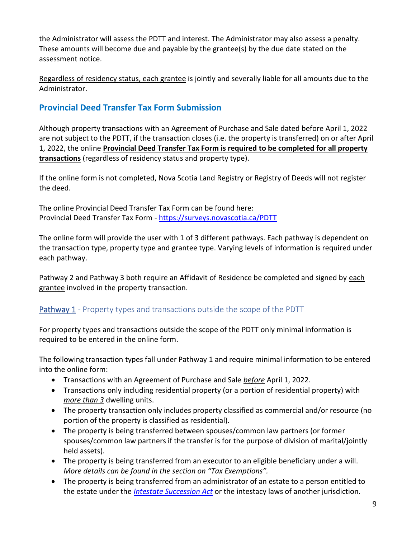the Administrator will assess the PDTT and interest. The Administrator may also assess a penalty. These amounts will become due and payable by the grantee(s) by the due date stated on the assessment notice.

Regardless of residency status, each grantee is jointly and severally liable for all amounts due to the Administrator.

## <span id="page-8-0"></span>**Provincial Deed Transfer Tax Form Submission**

Although property transactions with an Agreement of Purchase and Sale dated before April 1, 2022 are not subject to the PDTT, if the transaction closes (i.e. the property is transferred) on or after April 1, 2022, the online **Provincial Deed Transfer Tax Form is required to be completed for all property transactions** (regardless of residency status and property type).

If the online form is not completed, Nova Scotia Land Registry or Registry of Deeds will not register the deed.

The online Provincial Deed Transfer Tax Form can be found here: Provincial Deed Transfer Tax Form - <https://surveys.novascotia.ca/PDTT>

The online form will provide the user with 1 of 3 different pathways. Each pathway is dependent on the transaction type, property type and grantee type. Varying levels of information is required under each pathway.

Pathway 2 and Pathway 3 both require an Affidavit of Residence be completed and signed by each grantee involved in the property transaction.

## <span id="page-8-1"></span>Pathway 1 - Property types and transactions outside the scope of the PDTT

For property types and transactions outside the scope of the PDTT only minimal information is required to be entered in the online form.

The following transaction types fall under Pathway 1 and require minimal information to be entered into the online form:

- Transactions with an Agreement of Purchase and Sale *before* April 1, 2022.
- Transactions only including residential property (or a portion of residential property) with *more than 3* dwelling units.
- The property transaction only includes property classified as commercial and/or resource (no portion of the property is classified as residential).
- The property is being transferred between spouses/common law partners (or former spouses/common law partners if the transfer is for the purpose of division of marital/jointly held assets).
- The property is being transferred from an executor to an eligible beneficiary under a will. *More details can be found in the section on "Tax Exemptions".*
- The property is being transferred from an administrator of an estate to a person entitled to the estate under the *[Intestate Succession Act](https://nslegislature.ca/sites/default/files/legc/statutes/intestat.htm)* or the intestacy laws of another jurisdiction*.*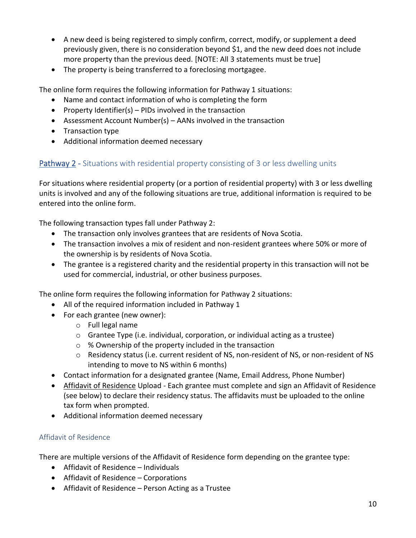- A new deed is being registered to simply confirm, correct, modify, or supplement a deed previously given, there is no consideration beyond \$1, and the new deed does not include more property than the previous deed. [NOTE: All 3 statements must be true]
- The property is being transferred to a foreclosing mortgagee.

The online form requires the following information for Pathway 1 situations:

- Name and contact information of who is completing the form
- Property Identifier(s) PIDs involved in the transaction
- Assessment Account Number(s) AANs involved in the transaction
- Transaction type
- Additional information deemed necessary

## <span id="page-9-0"></span>Pathway 2 - Situations with residential property consisting of 3 or less dwelling units

For situations where residential property (or a portion of residential property) with 3 or less dwelling units is involved and any of the following situations are true, additional information is required to be entered into the online form.

The following transaction types fall under Pathway 2:

- The transaction only involves grantees that are residents of Nova Scotia.
- The transaction involves a mix of resident and non-resident grantees where 50% or more of the ownership is by residents of Nova Scotia.
- The grantee is a registered charity and the residential property in this transaction will not be used for commercial, industrial, or other business purposes.

The online form requires the following information for Pathway 2 situations:

- All of the required information included in Pathway 1
- For each grantee (new owner):
	- o Full legal name
	- $\circ$  Grantee Type (i.e. individual, corporation, or individual acting as a trustee)
	- o % Ownership of the property included in the transaction
	- o Residency status (i.e. current resident of NS, non-resident of NS, or non-resident of NS intending to move to NS within 6 months)
- Contact information for a designated grantee (Name, Email Address, Phone Number)
- Affidavit of Residence Upload Each grantee must complete and sign an Affidavit of Residence (see below) to declare their residency status. The affidavits must be uploaded to the online tax form when prompted.
- Additional information deemed necessary

#### <span id="page-9-1"></span>Affidavit of Residence

There are multiple versions of the Affidavit of Residence form depending on the grantee type:

- Affidavit of Residence Individuals
- Affidavit of Residence Corporations
- Affidavit of Residence Person Acting as a Trustee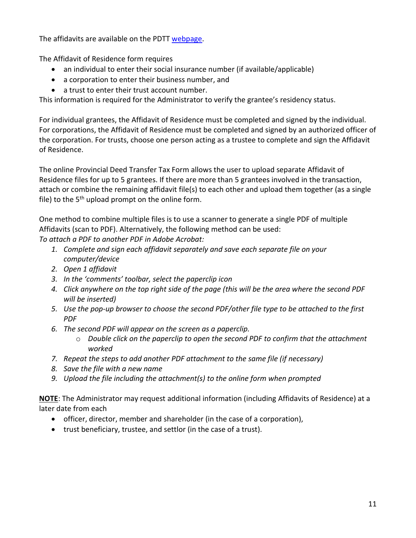The affidavits are available on the PDTT [webpage.](https://www.novascotia.ca/finance/en/home/taxation/tax101/non-resident-deed-transfer-tax-and-property-tax.html)

The Affidavit of Residence form requires

- an individual to enter their social insurance number (if available/applicable)
- a corporation to enter their business number, and
- a trust to enter their trust account number.

This information is required for the Administrator to verify the grantee's residency status.

For individual grantees, the Affidavit of Residence must be completed and signed by the individual. For corporations, the Affidavit of Residence must be completed and signed by an authorized officer of the corporation. For trusts, choose one person acting as a trustee to complete and sign the Affidavit of Residence.

The online Provincial Deed Transfer Tax Form allows the user to upload separate Affidavit of Residence files for up to 5 grantees. If there are more than 5 grantees involved in the transaction, attach or combine the remaining affidavit file(s) to each other and upload them together (as a single file) to the  $5<sup>th</sup>$  upload prompt on the online form.

One method to combine multiple files is to use a scanner to generate a single PDF of multiple Affidavits (scan to PDF). Alternatively, the following method can be used:

*To attach a PDF to another PDF in Adobe Acrobat:*

- *1. Complete and sign each affidavit separately and save each separate file on your computer/device*
- *2. Open 1 affidavit*
- *3. In the 'comments' toolbar, select the paperclip icon*
- *4. Click anywhere on the top right side of the page (this will be the area where the second PDF will be inserted)*
- *5. Use the pop-up browser to choose the second PDF/other file type to be attached to the first PDF*
- *6. The second PDF will appear on the screen as a paperclip.* 
	- o *Double click on the paperclip to open the second PDF to confirm that the attachment worked*
- *7. Repeat the steps to add another PDF attachment to the same file (if necessary)*
- *8. Save the file with a new name*
- *9. Upload the file including the attachment(s) to the online form when prompted*

**NOTE**: The Administrator may request additional information (including Affidavits of Residence) at a later date from each

- officer, director, member and shareholder (in the case of a corporation),
- trust beneficiary, trustee, and settlor (in the case of a trust).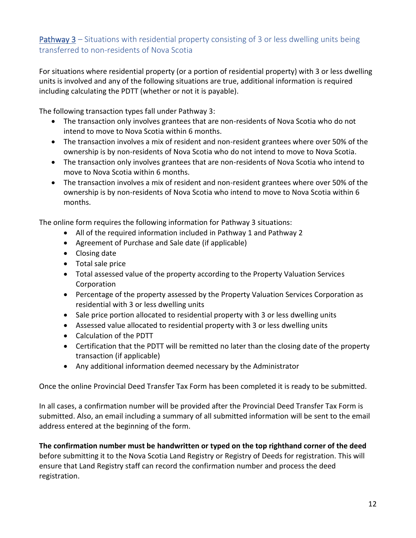## <span id="page-11-0"></span>Pathway 3 – Situations with residential property consisting of 3 or less dwelling units being transferred to non-residents of Nova Scotia

For situations where residential property (or a portion of residential property) with 3 or less dwelling units is involved and any of the following situations are true, additional information is required including calculating the PDTT (whether or not it is payable).

The following transaction types fall under Pathway 3:

- The transaction only involves grantees that are non-residents of Nova Scotia who do not intend to move to Nova Scotia within 6 months.
- The transaction involves a mix of resident and non-resident grantees where over 50% of the ownership is by non-residents of Nova Scotia who do not intend to move to Nova Scotia.
- The transaction only involves grantees that are non-residents of Nova Scotia who intend to move to Nova Scotia within 6 months.
- The transaction involves a mix of resident and non-resident grantees where over 50% of the ownership is by non-residents of Nova Scotia who intend to move to Nova Scotia within 6 months.

The online form requires the following information for Pathway 3 situations:

- All of the required information included in Pathway 1 and Pathway 2
- Agreement of Purchase and Sale date (if applicable)
- Closing date
- Total sale price
- Total assessed value of the property according to the Property Valuation Services Corporation
- Percentage of the property assessed by the Property Valuation Services Corporation as residential with 3 or less dwelling units
- Sale price portion allocated to residential property with 3 or less dwelling units
- Assessed value allocated to residential property with 3 or less dwelling units
- Calculation of the PDTT
- Certification that the PDTT will be remitted no later than the closing date of the property transaction (if applicable)
- Any additional information deemed necessary by the Administrator

Once the online Provincial Deed Transfer Tax Form has been completed it is ready to be submitted.

In all cases, a confirmation number will be provided after the Provincial Deed Transfer Tax Form is submitted. Also, an email including a summary of all submitted information will be sent to the email address entered at the beginning of the form.

**The confirmation number must be handwritten or typed on the top righthand corner of the deed** before submitting it to the Nova Scotia Land Registry or Registry of Deeds for registration. This will ensure that Land Registry staff can record the confirmation number and process the deed registration.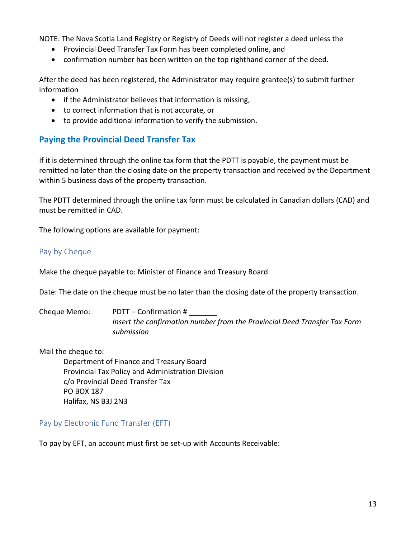NOTE: The Nova Scotia Land Registry or Registry of Deeds will not register a deed unless the

- Provincial Deed Transfer Tax Form has been completed online, and
- confirmation number has been written on the top righthand corner of the deed.

After the deed has been registered, the Administrator may require grantee(s) to submit further information

- if the Administrator believes that information is missing,
- to correct information that is not accurate, or
- to provide additional information to verify the submission.

## <span id="page-12-0"></span>**Paying the Provincial Deed Transfer Tax**

If it is determined through the online tax form that the PDTT is payable, the payment must be remitted no later than the closing date on the property transaction and received by the Department within 5 business days of the property transaction.

The PDTT determined through the online tax form must be calculated in Canadian dollars (CAD) and must be remitted in CAD.

The following options are available for payment:

#### <span id="page-12-1"></span>Pay by Cheque

Make the cheque payable to: Minister of Finance and Treasury Board

Date: The date on the cheque must be no later than the closing date of the property transaction.

Cheque Memo: PDTT – Confirmation # \_\_\_\_\_\_\_ *Insert the confirmation number from the Provincial Deed Transfer Tax Form submission*

Mail the cheque to:

Department of Finance and Treasury Board Provincial Tax Policy and Administration Division c/o Provincial Deed Transfer Tax PO BOX 187 Halifax, NS B3J 2N3

<span id="page-12-2"></span>Pay by Electronic Fund Transfer (EFT)

To pay by EFT, an account must first be set-up with Accounts Receivable: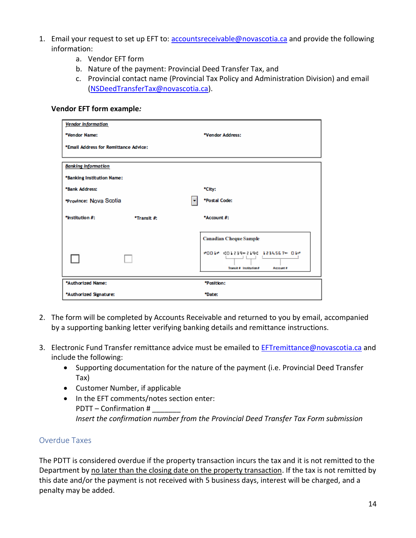- 1. Email your request to set up EFT to: [accountsreceivable@novascotia.ca](mailto:accountsreceivable@novascotia.ca) and provide the following information:
	- a. Vendor EFT form
	- b. Nature of the payment: Provincial Deed Transfer Tax, and
	- c. Provincial contact name (Provincial Tax Policy and Administration Division) and email [\(NSDeedTransferTax@novascotia.ca\)](mailto:NSDeedTransferTax@novascotia.ca).

#### **Vendor EFT form example***:*

| <b>Vendor Information</b>             |             |                                                                       |  |  |
|---------------------------------------|-------------|-----------------------------------------------------------------------|--|--|
| *Vendor Name:                         |             | *Vendor Address:                                                      |  |  |
| *Email Address for Remittance Advice: |             |                                                                       |  |  |
| <b>Banking Information</b>            |             |                                                                       |  |  |
| *Banking Institution Name:            |             |                                                                       |  |  |
| *Bank Address:                        |             | *City:                                                                |  |  |
| *Province: Nova Scotia                |             | *Postal Code:                                                         |  |  |
| *Institution #:                       | *Transit #: | *Account #:                                                           |  |  |
|                                       |             | <b>Canadian Cheque Sample</b>                                         |  |  |
|                                       |             | #001* #01239#219# 1234567* 01*<br>Transit # Institution#<br>Account # |  |  |
| *Authorized Name:                     |             | *Position:                                                            |  |  |
| *Authorized Signature:                |             | *Date:                                                                |  |  |

- 2. The form will be completed by Accounts Receivable and returned to you by email, accompanied by a supporting banking letter verifying banking details and remittance instructions.
- 3. Electronic Fund Transfer remittance advice must be emailed to **EFTremittance@novascotia.ca** and include the following:
	- Supporting documentation for the nature of the payment (i.e. Provincial Deed Transfer Tax)
	- Customer Number, if applicable
	- In the EFT comments/notes section enter: PDTT – Confirmation # *Insert the confirmation number from the Provincial Deed Transfer Tax Form submission*

#### <span id="page-13-0"></span>Overdue Taxes

The PDTT is considered overdue if the property transaction incurs the tax and it is not remitted to the Department by no later than the closing date on the property transaction. If the tax is not remitted by this date and/or the payment is not received with 5 business days, interest will be charged, and a penalty may be added.